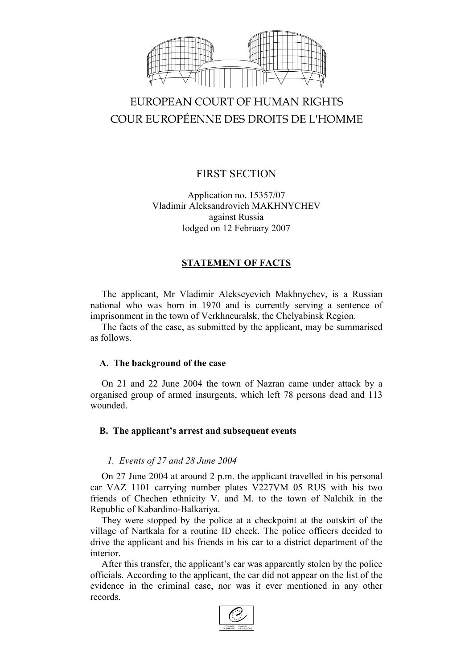

# EUROPEAN COURT OF HUMAN RIGHTS COUR EUROPÉENNE DES DROITS DE L'HOMME

# FIRST SECTION

Application no. 15357/07 Vladimir Aleksandrovich MAKHNYCHEV against Russia lodged on 12 February 2007

# **STATEMENT OF FACTS**

The applicant, Mr Vladimir Alekseyevich Makhnychev, is a Russian national who was born in 1970 and is currently serving a sentence of imprisonment in the town of Verkhneuralsk, the Chelyabinsk Region.

The facts of the case, as submitted by the applicant, may be summarised as follows.

## **A. The background of the case**

On 21 and 22 June 2004 the town of Nazran came under attack by a organised group of armed insurgents, which left 78 persons dead and 113 wounded.

# **B. The applicant's arrest and subsequent events**

## *1. Events of 27 and 28 June 2004*

On 27 June 2004 at around 2 p.m. the applicant travelled in his personal car VAZ 1101 carrying number plates V227VM 05 RUS with his two friends of Chechen ethnicity V. and M. to the town of Nalchik in the Republic of Kabardino-Balkariya.

They were stopped by the police at a checkpoint at the outskirt of the village of Nartkala for a routine ID check. The police officers decided to drive the applicant and his friends in his car to a district department of the interior.

After this transfer, the applicant's car was apparently stolen by the police officials. According to the applicant, the car did not appear on the list of the evidence in the criminal case, nor was it ever mentioned in any other records.

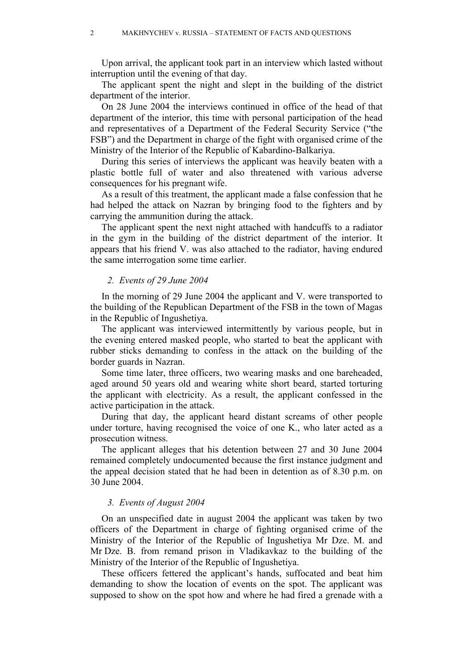Upon arrival, the applicant took part in an interview which lasted without interruption until the evening of that day.

The applicant spent the night and slept in the building of the district department of the interior.

On 28 June 2004 the interviews continued in office of the head of that department of the interior, this time with personal participation of the head and representatives of a Department of the Federal Security Service ("the FSB") and the Department in charge of the fight with organised crime of the Ministry of the Interior of the Republic of Kabardino-Balkariya.

During this series of interviews the applicant was heavily beaten with a plastic bottle full of water and also threatened with various adverse consequences for his pregnant wife.

As a result of this treatment, the applicant made a false confession that he had helped the attack on Nazran by bringing food to the fighters and by carrying the ammunition during the attack.

The applicant spent the next night attached with handcuffs to a radiator in the gym in the building of the district department of the interior. It appears that his friend V. was also attached to the radiator, having endured the same interrogation some time earlier.

#### *2. Events of 29 June 2004*

In the morning of 29 June 2004 the applicant and V. were transported to the building of the Republican Department of the FSB in the town of Magas in the Republic of Ingushetiya.

The applicant was interviewed intermittently by various people, but in the evening entered masked people, who started to beat the applicant with rubber sticks demanding to confess in the attack on the building of the border guards in Nazran.

Some time later, three officers, two wearing masks and one bareheaded, aged around 50 years old and wearing white short beard, started torturing the applicant with electricity. As a result, the applicant confessed in the active participation in the attack.

During that day, the applicant heard distant screams of other people under torture, having recognised the voice of one K., who later acted as a prosecution witness.

The applicant alleges that his detention between 27 and 30 June 2004 remained completely undocumented because the first instance judgment and the appeal decision stated that he had been in detention as of 8.30 p.m. on 30 June 2004.

#### *3. Events of August 2004*

On an unspecified date in august 2004 the applicant was taken by two officers of the Department in charge of fighting organised crime of the Ministry of the Interior of the Republic of Ingushetiya Mr Dze. M. and Mr Dze. B. from remand prison in Vladikavkaz to the building of the Ministry of the Interior of the Republic of Ingushetiya.

These officers fettered the applicant's hands, suffocated and beat him demanding to show the location of events on the spot. The applicant was supposed to show on the spot how and where he had fired a grenade with a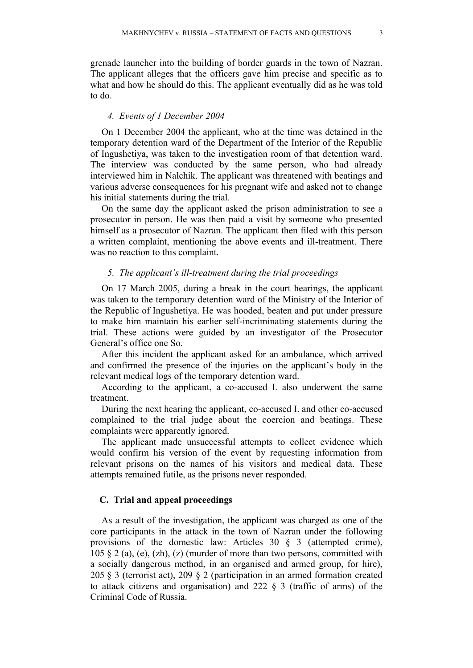grenade launcher into the building of border guards in the town of Nazran. The applicant alleges that the officers gave him precise and specific as to what and how he should do this. The applicant eventually did as he was told to do.

#### *4. Events of 1 December 2004*

On 1 December 2004 the applicant, who at the time was detained in the temporary detention ward of the Department of the Interior of the Republic of Ingushetiya, was taken to the investigation room of that detention ward. The interview was conducted by the same person, who had already interviewed him in Nalchik. The applicant was threatened with beatings and various adverse consequences for his pregnant wife and asked not to change his initial statements during the trial.

On the same day the applicant asked the prison administration to see a prosecutor in person. He was then paid a visit by someone who presented himself as a prosecutor of Nazran. The applicant then filed with this person a written complaint, mentioning the above events and ill-treatment. There was no reaction to this complaint.

#### *5. The applicant's ill-treatment during the trial proceedings*

On 17 March 2005, during a break in the court hearings, the applicant was taken to the temporary detention ward of the Ministry of the Interior of the Republic of Ingushetiya. He was hooded, beaten and put under pressure to make him maintain his earlier self-incriminating statements during the trial. These actions were guided by an investigator of the Prosecutor General's office one So.

After this incident the applicant asked for an ambulance, which arrived and confirmed the presence of the injuries on the applicant's body in the relevant medical logs of the temporary detention ward.

According to the applicant, a co-accused I. also underwent the same treatment.

During the next hearing the applicant, co-accused I. and other co-accused complained to the trial judge about the coercion and beatings. These complaints were apparently ignored.

The applicant made unsuccessful attempts to collect evidence which would confirm his version of the event by requesting information from relevant prisons on the names of his visitors and medical data. These attempts remained futile, as the prisons never responded.

#### **C. Trial and appeal proceedings**

As a result of the investigation, the applicant was charged as one of the core participants in the attack in the town of Nazran under the following provisions of the domestic law: Articles 30 § 3 (attempted crime), 105  $\S$  2 (a), (e), (zh), (z) (murder of more than two persons, committed with a socially dangerous method, in an organised and armed group, for hire), 205 § 3 (terrorist act), 209 § 2 (participation in an armed formation created to attack citizens and organisation) and 222 § 3 (traffic of arms) of the Criminal Code of Russia.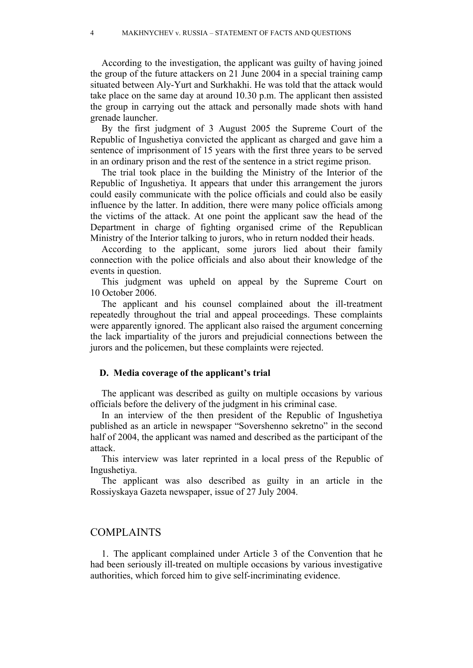According to the investigation, the applicant was guilty of having joined the group of the future attackers on 21 June 2004 in a special training camp situated between Aly-Yurt and Surkhakhi. He was told that the attack would take place on the same day at around 10.30 p.m. The applicant then assisted the group in carrying out the attack and personally made shots with hand grenade launcher.

By the first judgment of 3 August 2005 the Supreme Court of the Republic of Ingushetiya convicted the applicant as charged and gave him a sentence of imprisonment of 15 years with the first three years to be served in an ordinary prison and the rest of the sentence in a strict regime prison.

The trial took place in the building the Ministry of the Interior of the Republic of Ingushetiya. It appears that under this arrangement the jurors could easily communicate with the police officials and could also be easily influence by the latter. In addition, there were many police officials among the victims of the attack. At one point the applicant saw the head of the Department in charge of fighting organised crime of the Republican Ministry of the Interior talking to jurors, who in return nodded their heads.

According to the applicant, some jurors lied about their family connection with the police officials and also about their knowledge of the events in question.

This judgment was upheld on appeal by the Supreme Court on 10 October 2006.

The applicant and his counsel complained about the ill-treatment repeatedly throughout the trial and appeal proceedings. These complaints were apparently ignored. The applicant also raised the argument concerning the lack impartiality of the jurors and prejudicial connections between the jurors and the policemen, but these complaints were rejected.

#### **D. Media coverage of the applicant's trial**

The applicant was described as guilty on multiple occasions by various officials before the delivery of the judgment in his criminal case.

In an interview of the then president of the Republic of Ingushetiya published as an article in newspaper "Sovershenno sekretno" in the second half of 2004, the applicant was named and described as the participant of the attack.

This interview was later reprinted in a local press of the Republic of Ingushetiya.

The applicant was also described as guilty in an article in the Rossiyskaya Gazeta newspaper, issue of 27 July 2004.

## COMPLAINTS

1. The applicant complained under Article 3 of the Convention that he had been seriously ill-treated on multiple occasions by various investigative authorities, which forced him to give self-incriminating evidence.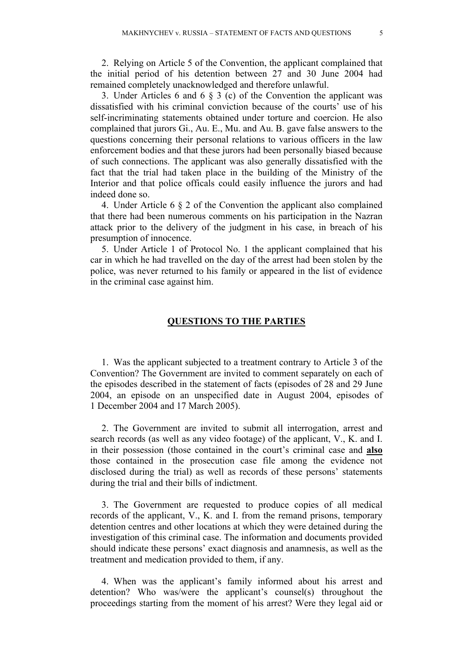2. Relying on Article 5 of the Convention, the applicant complained that the initial period of his detention between 27 and 30 June 2004 had remained completely unacknowledged and therefore unlawful.

3. Under Articles 6 and 6 § 3 (c) of the Convention the applicant was dissatisfied with his criminal conviction because of the courts' use of his self-incriminating statements obtained under torture and coercion. He also complained that jurors Gi., Au. E., Mu. and Au. B. gave false answers to the questions concerning their personal relations to various officers in the law enforcement bodies and that these jurors had been personally biased because of such connections. The applicant was also generally dissatisfied with the fact that the trial had taken place in the building of the Ministry of the Interior and that police officals could easily influence the jurors and had indeed done so.

4. Under Article 6 § 2 of the Convention the applicant also complained that there had been numerous comments on his participation in the Nazran attack prior to the delivery of the judgment in his case, in breach of his presumption of innocence.

5. Under Article 1 of Protocol No. 1 the applicant complained that his car in which he had travelled on the day of the arrest had been stolen by the police, was never returned to his family or appeared in the list of evidence in the criminal case against him.

#### **QUESTIONS TO THE PARTIES**

1. Was the applicant subjected to a treatment contrary to Article 3 of the Convention? The Government are invited to comment separately on each of the episodes described in the statement of facts (episodes of 28 and 29 June 2004, an episode on an unspecified date in August 2004, episodes of 1 December 2004 and 17 March 2005).

2. The Government are invited to submit all interrogation, arrest and search records (as well as any video footage) of the applicant, V., K. and I. in their possession (those contained in the court's criminal case and **also** those contained in the prosecution case file among the evidence not disclosed during the trial) as well as records of these persons' statements during the trial and their bills of indictment.

3. The Government are requested to produce copies of all medical records of the applicant, V., K. and I. from the remand prisons, temporary detention centres and other locations at which they were detained during the investigation of this criminal case. The information and documents provided should indicate these persons' exact diagnosis and anamnesis, as well as the treatment and medication provided to them, if any.

4. When was the applicant's family informed about his arrest and detention? Who was/were the applicant's counsel(s) throughout the proceedings starting from the moment of his arrest? Were they legal aid or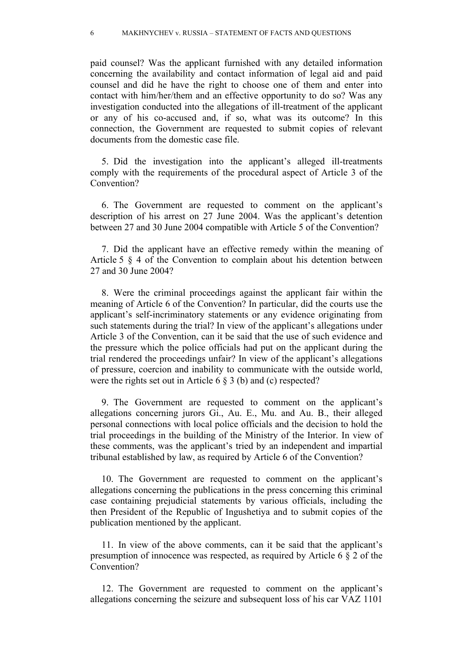paid counsel? Was the applicant furnished with any detailed information concerning the availability and contact information of legal aid and paid counsel and did he have the right to choose one of them and enter into contact with him/her/them and an effective opportunity to do so? Was any investigation conducted into the allegations of ill-treatment of the applicant or any of his co-accused and, if so, what was its outcome? In this connection, the Government are requested to submit copies of relevant documents from the domestic case file.

5. Did the investigation into the applicant's alleged ill-treatments comply with the requirements of the procedural aspect of Article 3 of the Convention?

6. The Government are requested to comment on the applicant's description of his arrest on 27 June 2004. Was the applicant's detention between 27 and 30 June 2004 compatible with Article 5 of the Convention?

7. Did the applicant have an effective remedy within the meaning of Article 5 § 4 of the Convention to complain about his detention between 27 and 30 June 2004?

8. Were the criminal proceedings against the applicant fair within the meaning of Article 6 of the Convention? In particular, did the courts use the applicant's self-incriminatory statements or any evidence originating from such statements during the trial? In view of the applicant's allegations under Article 3 of the Convention, can it be said that the use of such evidence and the pressure which the police officials had put on the applicant during the trial rendered the proceedings unfair? In view of the applicant's allegations of pressure, coercion and inability to communicate with the outside world, were the rights set out in Article 6 § 3 (b) and (c) respected?

9. The Government are requested to comment on the applicant's allegations concerning jurors Gi., Au. E., Mu. and Au. B., their alleged personal connections with local police officials and the decision to hold the trial proceedings in the building of the Ministry of the Interior. In view of these comments, was the applicant's tried by an independent and impartial tribunal established by law, as required by Article 6 of the Convention?

10. The Government are requested to comment on the applicant's allegations concerning the publications in the press concerning this criminal case containing prejudicial statements by various officials, including the then President of the Republic of Ingushetiya and to submit copies of the publication mentioned by the applicant.

11. In view of the above comments, can it be said that the applicant's presumption of innocence was respected, as required by Article 6 § 2 of the Convention?

12. The Government are requested to comment on the applicant's allegations concerning the seizure and subsequent loss of his car VAZ 1101